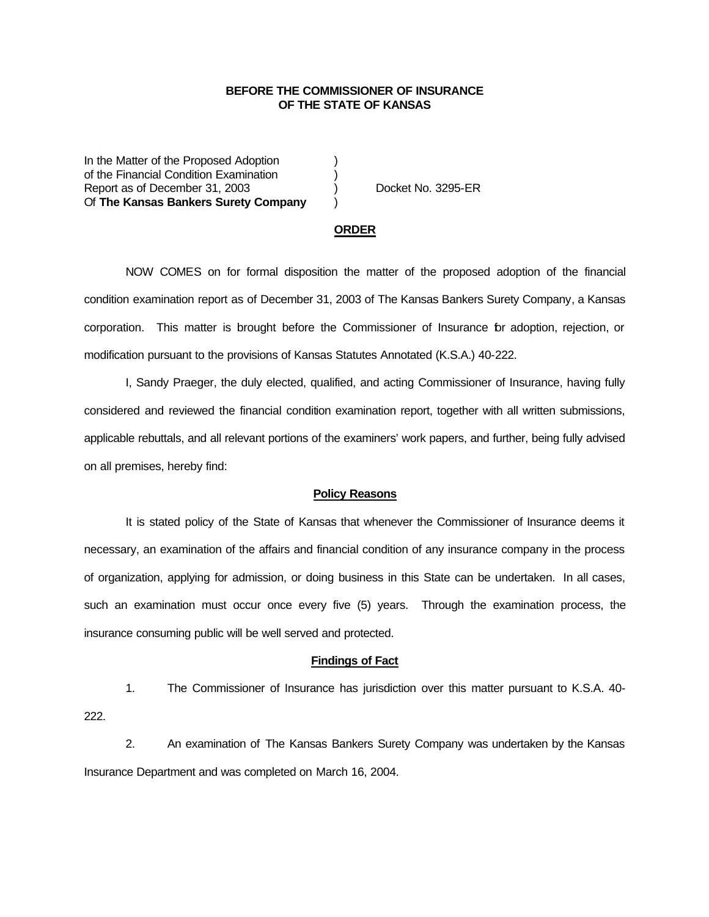## **BEFORE THE COMMISSIONER OF INSURANCE OF THE STATE OF KANSAS**

In the Matter of the Proposed Adoption of the Financial Condition Examination ) Report as of December 31, 2003 (and Separation Cooket No. 3295-ER Of **The Kansas Bankers Surety Company** )

### **ORDER**

NOW COMES on for formal disposition the matter of the proposed adoption of the financial condition examination report as of December 31, 2003 of The Kansas Bankers Surety Company, a Kansas corporation. This matter is brought before the Commissioner of Insurance for adoption, rejection, or modification pursuant to the provisions of Kansas Statutes Annotated (K.S.A.) 40-222.

I, Sandy Praeger, the duly elected, qualified, and acting Commissioner of Insurance, having fully considered and reviewed the financial condition examination report, together with all written submissions, applicable rebuttals, and all relevant portions of the examiners' work papers, and further, being fully advised on all premises, hereby find:

#### **Policy Reasons**

It is stated policy of the State of Kansas that whenever the Commissioner of Insurance deems it necessary, an examination of the affairs and financial condition of any insurance company in the process of organization, applying for admission, or doing business in this State can be undertaken. In all cases, such an examination must occur once every five (5) years. Through the examination process, the insurance consuming public will be well served and protected.

### **Findings of Fact**

1. The Commissioner of Insurance has jurisdiction over this matter pursuant to K.S.A. 40- 222.

2. An examination of The Kansas Bankers Surety Company was undertaken by the Kansas Insurance Department and was completed on March 16, 2004.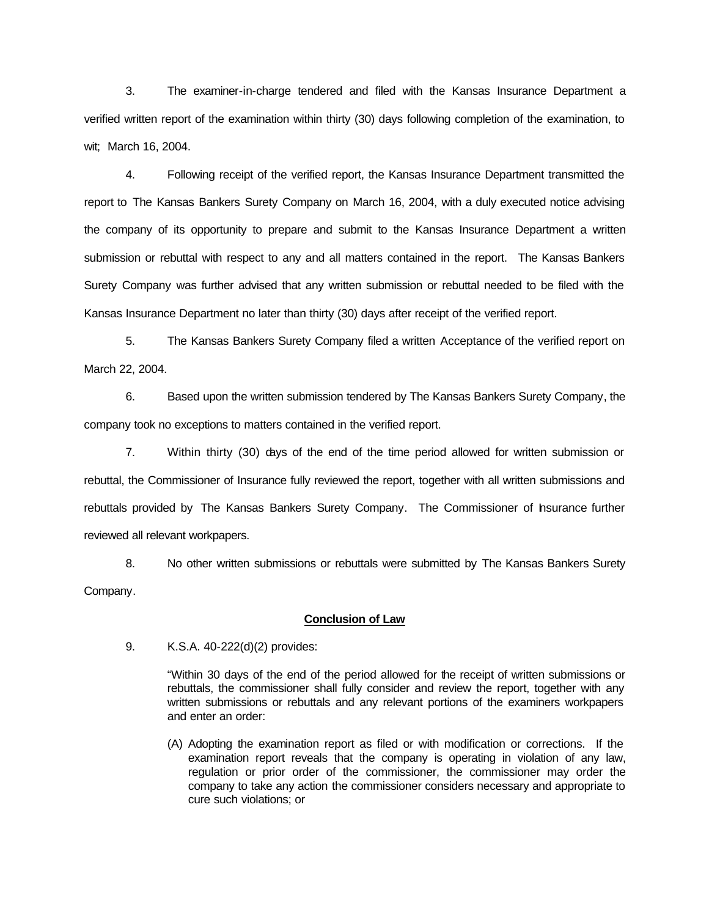3. The examiner-in-charge tendered and filed with the Kansas Insurance Department a verified written report of the examination within thirty (30) days following completion of the examination, to wit;March 16, 2004.

4. Following receipt of the verified report, the Kansas Insurance Department transmitted the report to The Kansas Bankers Surety Company on March 16, 2004, with a duly executed notice advising the company of its opportunity to prepare and submit to the Kansas Insurance Department a written submission or rebuttal with respect to any and all matters contained in the report. The Kansas Bankers Surety Company was further advised that any written submission or rebuttal needed to be filed with the Kansas Insurance Department no later than thirty (30) days after receipt of the verified report.

5. The Kansas Bankers Surety Company filed a written Acceptance of the verified report on March 22, 2004.

6. Based upon the written submission tendered by The Kansas Bankers Surety Company, the company took no exceptions to matters contained in the verified report.

7. Within thirty (30) days of the end of the time period allowed for written submission or rebuttal, the Commissioner of Insurance fully reviewed the report, together with all written submissions and rebuttals provided by The Kansas Bankers Surety Company. The Commissioner of hsurance further reviewed all relevant workpapers.

8. No other written submissions or rebuttals were submitted by The Kansas Bankers Surety Company.

### **Conclusion of Law**

9. K.S.A. 40-222(d)(2) provides:

"Within 30 days of the end of the period allowed for the receipt of written submissions or rebuttals, the commissioner shall fully consider and review the report, together with any written submissions or rebuttals and any relevant portions of the examiners workpapers and enter an order:

(A) Adopting the examination report as filed or with modification or corrections. If the examination report reveals that the company is operating in violation of any law, regulation or prior order of the commissioner, the commissioner may order the company to take any action the commissioner considers necessary and appropriate to cure such violations; or